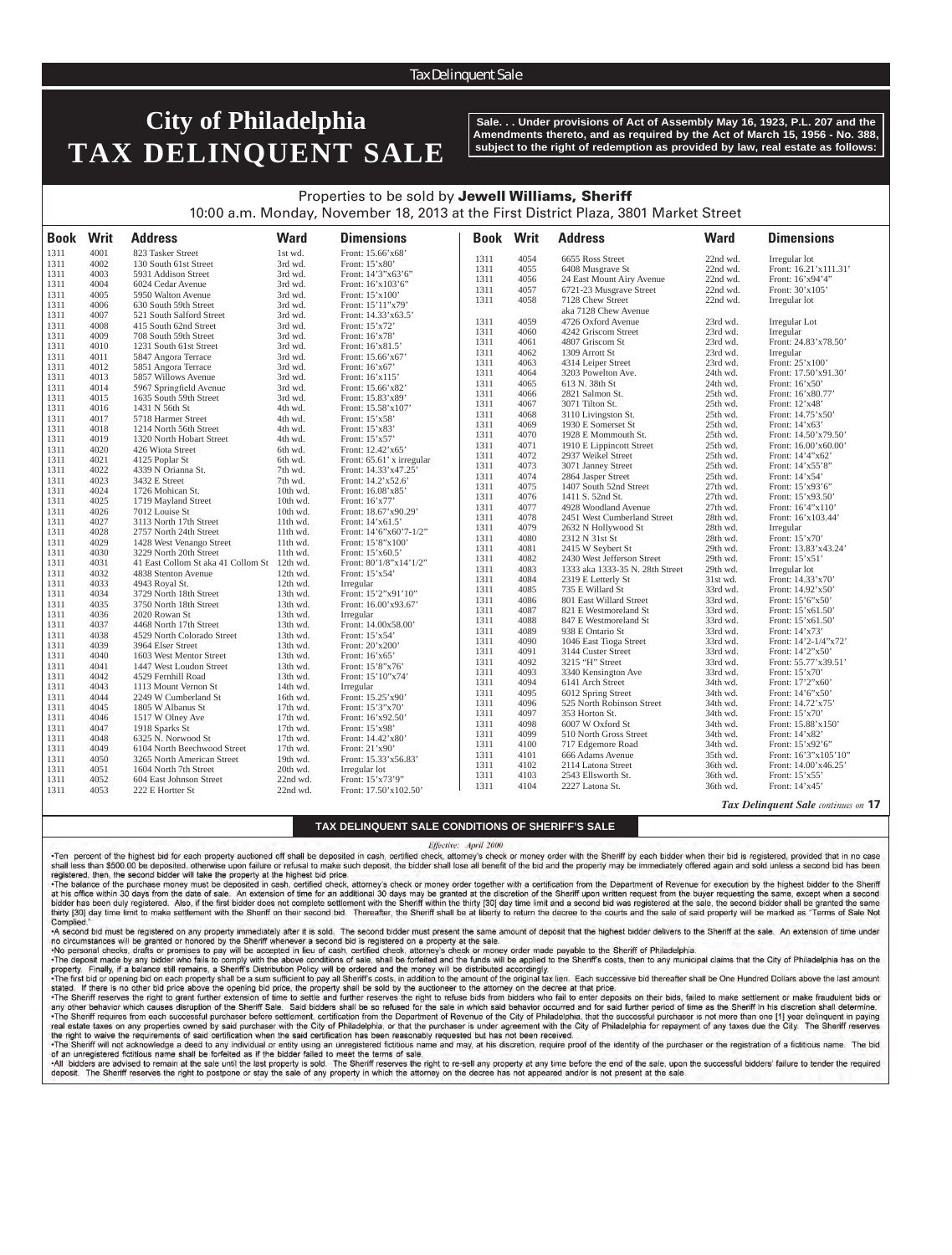## Tax Delinquent Sale

# **City of Philadelphia TAX DELINQUENT SALE**

**Sale. . . Under provisions of Act of Assembly May 16, 1923, P.L. 207 and the Amendments thereto, and as required by the Act of March 15, 1956 - No. 388, subject to the right of redemption as provided by law, real estate as follows:**

*Tax Delinquent Sale continues on* **17**

# Properties to be sold by Jewell Williams, Sheriff 10:00 a.m. Monday, November 18, 2013 at the First District Plaza, 3801 Market Street

| <b>Book Writ</b> |      | <b>Address</b>                              | <b>Ward</b> | <b>Dimensions</b>         | <b>Book</b>  | Writ | <b>Address</b>                  | <b>Ward</b>          | <b>Dimensions</b>                      |
|------------------|------|---------------------------------------------|-------------|---------------------------|--------------|------|---------------------------------|----------------------|----------------------------------------|
| 1311             | 4001 | 823 Tasker Street                           | 1st wd.     | Front: 15.66'x68'         |              | 4054 |                                 |                      |                                        |
| 1311             | 4002 | 130 South 61st Street                       | 3rd wd.     | Front: 15'x80'            | 1311<br>1311 | 4055 | 6655 Ross Street                | 22nd wd.<br>22nd wd. | Irregular lot<br>Front: 16.21'x111.31' |
| 1311             | 4003 | 5931 Addison Street                         | 3rd wd.     | Front: 14'3"x63'6"        | 1311         | 4056 | 6408 Musgrave St                | 22nd wd.             |                                        |
| 1311             | 4004 | 6024 Cedar Avenue                           | 3rd wd.     | Front: 16'x103'6"         | 1311         | 4057 | 24 East Mount Airy Avenue       | 22nd wd.             | Front: 16'x94'4"<br>Front: 30'x105'    |
| 1311             | 4005 | 5950 Walton Avenue                          | 3rd wd.     | Front: 15'x100'           |              | 4058 | 6721-23 Musgrave Street         | 22nd wd.             |                                        |
| 1311             | 4006 | 630 South 59th Street                       | 3rd wd.     | Front: 15'11"x79'         | 1311         |      | 7128 Chew Street                |                      | Irregular lot                          |
| 1311             | 4007 | 521 South Salford Street                    | 3rd wd.     | Front: 14.33'x63.5'       |              |      | aka 7128 Chew Avenue            |                      |                                        |
| 1311             | 4008 | 415 South 62nd Street                       | 3rd wd.     | Front: 15'x72'            | 1311         | 4059 | 4726 Oxford Avenue              | 23rd wd.             | Irregular Lot                          |
| 1311             | 4009 | 708 South 59th Street                       | 3rd wd.     | Front: 16'x78'            | 1311         | 4060 | 4242 Griscom Street             | 23rd wd.             | Irregular                              |
| 1311             | 4010 | 1231 South 61st Street                      | 3rd wd.     | Front: 16'x81.5'          | 1311         | 4061 | 4807 Griscom St                 | 23rd wd.             | Front: 24.83'x78.50'                   |
| 1311             | 4011 | 5847 Angora Terrace                         | 3rd wd.     | Front: 15.66'x67'         | 1311         | 4062 | 1309 Arrott St                  | 23rd wd.             | Irregular                              |
| 1311             | 4012 | 5851 Angora Terrace                         | 3rd wd.     | Front: 16'x67'            | 1311         | 4063 | 4314 Leiper Street              | 23rd wd.             | Front: 25'x100'                        |
| 1311             | 4013 | 5857 Willows Avenue                         | 3rd wd.     | Front: 16'x115'           | 1311         | 4064 | 3203 Powelton Ave.              | 24th wd.             | Front: 17.50'x91.30'                   |
| 1311             | 4014 | 5967 Springfield Avenue                     | 3rd wd.     | Front: 15.66'x82'         | 1311         | 4065 | 613 N. 38th St                  | 24th wd.             | Front: 16'x50'                         |
| 1311             | 4015 | 1635 South 59th Street                      | 3rd wd.     | Front: 15.83'x89'         | 1311         | 4066 | 2821 Salmon St.                 | 25th wd.             | Front: 16'x80.77'                      |
| 1311             | 4016 | 1431 N 56th St                              | 4th wd.     | Front: 15.58'x107'        | 1311         | 4067 | 3071 Tilton St.                 | 25th wd.             | Front: 12'x48'                         |
| 1311             | 4017 | 5718 Harmer Street                          | 4th wd.     | Front: 15'x58'            | 1311         | 4068 | 3110 Livingston St.             | 25th wd.             | Front: 14.75'x50'                      |
| 1311             | 4018 | 1214 North 56th Street                      | 4th wd.     | Front: 15'x83'            | 1311         | 4069 | 1930 E Somerset St              | 25th wd.             | Front: 14'x63'                         |
| 1311             | 4019 | 1320 North Hobart Street                    | 4th wd.     | Front: 15'x57'            | 1311         | 4070 | 1928 E Mommouth St.             | 25th wd.             | Front: 14.50'x79.50'                   |
| 1311             | 4020 | 426 Wiota Street                            | 6th wd.     | Front: 12.42'x65'         | 1311         | 4071 | 1910 E Lippincott Street        | 25th wd.             | Front: 16.00'x60.00'                   |
| 1311             | 4021 | 4125 Poplar St                              | 6th wd.     | Front: 65.61' x irregular | 1311         | 4072 | 2937 Weikel Street              | 25th wd.             | Front: 14'4"x62"                       |
| 1311             | 4022 | 4339 N Orianna St.                          | 7th wd.     | Front: 14.33'x47.25'      | 1311         | 4073 | 3071 Janney Street              | 25th wd.             | Front: 14'x55'8"                       |
| 1311             | 4023 | 3432 E Street                               | 7th wd.     | Front: 14.2'x52.6'        | 1311         | 4074 | 2864 Jasper Street              | 25th wd.             | Front: 14'x54'                         |
| 1311             | 4024 | 1726 Mohican St.                            | 10th wd.    | Front: 16.08'x85'         | 1311         | 4075 | 1407 South 52nd Street          | 27th wd.             | Front: 15'x93'6"                       |
| 1311             | 4025 | 1719 Mayland Street                         | 10th wd.    | Front: 16'x77'            | 1311         | 4076 | 1411 S. 52nd St.                | 27th wd.             | Front: 15'x93.50'                      |
| 1311             | 4026 | 7012 Louise St                              | 10th wd.    | Front: 18.67'x90.29'      | 1311         | 4077 | 4928 Woodland Avenue            | 27th wd.             | Front: 16'4"x110"                      |
| 1311             | 4027 | 3113 North 17th Street                      | 11th wd.    | Front: 14'x61.5'          | 1311         | 4078 | 2451 West Cumberland Street     | 28th wd.             | Front: 16'x103.44'                     |
| 1311             | 4028 | 2757 North 24th Street                      | 11th wd.    | Front: 14'6"x60'7-1/2"    | 1311         | 4079 | 2632 N Hollywood St             | 28th wd.             | Irregular                              |
| 1311             | 4029 | 1428 West Venango Street                    | 11th wd.    | Front: 15'8"x100"         | 1311         | 4080 | 2312 N 31st St                  | 28th wd.             | Front: 15'x70'                         |
| 1311             | 4030 | 3229 North 20th Street                      | 11th wd.    | Front: 15'x60.5'          | 1311         | 4081 | 2415 W Seybert St               | 29th wd.             | Front: 13.83'x43.24'                   |
| 1311             | 4031 | 41 East Collom St aka 41 Collom St 12th wd. |             | Front: $80'1/8''x14'1/2"$ | 1311         | 4082 | 2430 West Jefferson Street      | 29th wd.             | Front: 15'x51'                         |
| 1311             | 4032 | 4838 Stenton Avenue                         | 12th wd.    | Front: 15'x54'            | 1311         | 4083 | 1333 aka 1333-35 N. 28th Street | 29th wd.             | Irregular lot                          |
| 1311             | 4033 | 4943 Royal St.                              | $12th$ wd.  | Irregular                 | 1311         | 4084 | 2319 E Letterly St              | 31st wd.             | Front: 14.33'x70'                      |
| 1311             | 4034 | 3729 North 18th Street                      | 13th wd.    | Front: 15'2"x91'10"       | 1311         | 4085 | 735 E Willard St                | 33rd wd.             | Front: 14.92'x50'                      |
| 1311             | 4035 | 3750 North 18th Street                      | $13th$ wd.  | Front: 16.00'x93.67'      | 1311         | 4086 | 801 East Willard Street         | 33rd wd.             | Front: 15'6"x50"                       |
| 1311             | 4036 | 2020 Rowan St                               | 13th wd.    | Irregular                 | 1311         | 4087 | 821 E Westmoreland St           | 33rd wd.             | Front: 15'x61.50'                      |
| 1311             | 4037 | 4468 North 17th Street                      | 13th wd.    | Front: 14.00x58.00'       | 1311         | 4088 | 847 E Westmoreland St           | 33rd wd.             | Front: 15'x61.50'                      |
| 1311             | 4038 | 4529 North Colorado Street                  | 13th wd.    | Front: 15'x54'            | 1311         | 4089 | 938 E Ontario St                | 33rd wd.             | Front: 14'x73'                         |
| 1311             | 4039 | 3964 Elser Street                           | 13th wd.    | Front: 20'x200'           | 1311         | 4090 | 1046 East Tioga Street          | 33rd wd.             | Front: $14'2-1/4''x72'$                |
| 1311             | 4040 | 1603 West Mentor Street                     | 13th wd.    | Front: 16'x65'            | 1311         | 4091 | 3144 Custer Street              | 33rd wd.             | Front: 14'2"x50"                       |
| 1311             | 4041 | 1447 West Loudon Street                     | 13th wd.    | Front: 15'8"x76'          | 1311         | 4092 | 3215 "H" Street                 | 33rd wd.             | Front: 55.77'x39.51'                   |
| 1311             | 4042 | 4529 Fernhill Road                          | 13th wd.    | Front: 15'10"x74'         | 1311         | 4093 | 3340 Kensington Ave             | 33rd wd.             | Front: 15'x70'                         |
| 1311             | 4043 | 1113 Mount Vernon St                        | 14th wd.    | Irregular                 | 1311         | 4094 | 6141 Arch Street                | 34th wd.             | Front: 17'2"x60'                       |
| 1311             | 4044 | 2249 W Cumberland St                        | 16th wd.    | Front: 15.25'x90'         | 1311         | 4095 | 6012 Spring Street              | 34th wd.             | Front: 14'6"x50'                       |
| 1311             | 4045 | 1805 W Albanus St                           | 17th wd.    | Front: 15'3"x70'          | 1311         | 4096 | 525 North Robinson Street       | 34th wd.             | Front: 14.72'x75'                      |
| 1311             | 4046 | 1517 W Olney Ave                            | 17th wd.    | Front: 16'x92.50'         | 1311         | 4097 | 353 Horton St.                  | 34th wd.             | Front: 15'x70'                         |
| 1311             | 4047 | 1918 Sparks St                              | 17th wd.    | Front: 15'x98'            | 1311         | 4098 | 6007 W Oxford St                | 34th wd.             | Front: 15.88'x150'                     |
| 1311             | 4048 | 6325 N. Norwood St                          | 17th wd.    | Front: 14.42'x80'         | 1311         | 4099 | 510 North Gross Street          | 34th wd.             | Front: 14'x82'                         |
| 1311             | 4049 | 6104 North Beechwood Street                 | 17th wd.    | Front: 21'x90'            | 1311         | 4100 | 717 Edgemore Road               | 34th wd.             | Front: 15'x92'6"                       |
| 1311             | 4050 | 3265 North American Street                  | 19th wd.    | Front: 15.33'x56.83'      | 1311         | 4101 | 666 Adams Avenue                | 35th wd.             | Front: 16'3"x105'10"                   |
| 1311             | 4051 | 1604 North 7th Street                       | 20th wd.    | Irregular lot             | 1311         | 4102 | 2114 Latona Street              | 36th wd.             | Front: 14.00'x46.25'                   |
| 1311             | 4052 | 604 East Johnson Street                     | 22nd wd.    | Front: 15'x73'9"          | 1311         | 4103 | 2543 Ellsworth St.              | 36th wd.             | Front: 15'x55'                         |
| 1311             | 4053 | 222 E Hortter St                            | 22nd wd.    | Front: 17.50'x102.50'     | 1311         | 4104 | 2227 Latona St.                 | 36th wd.             | Front: 14'x45'                         |

### **TAX DELINQUENT SALE CONDITIONS OF SHERIFF'S SALE**

#### Effective: April 2000

Ten percent of the highest bid for each property auctioned off shall be deposited in cash, certified check, attorney's check or money order with the Sheriff by each bidder when their bid is registered, provided that in no registered, then, the second bidder will take the property at the highest bid price.

The balance of the purchase money must be deposited in cash, certified check, attorney's check or money order together with a certification from the Department of Revenue for execution by the highest bidder to the Sheriff at his office within 30 days from the date of sale. An extension of time for an additional 30 days may be granted at the discretion of the Sheriff upon written request from the buyer requesting the same, except when a seco bidder has been duly registered. Also, if the first bidder does not complete settlement with the Sheriff within the thirty [30] day time limit and a second bid was registered at the sale, the second bidder shall be granted thirty [30] day time limit to make settlement with the Sheriff on their second bid. Thereafter, the Sheriff shall be at liberty to return the decree to the courts and the sale of said property will be marked as "Terms of S Complied

-A second bid must be registered on any property immediately after it is sold. The second bidder must present the same amount of deposit that the highest bidder delivers to the Sheriff at the sale. An extension of time und no circumstances will be granted or honored by the Sheriff whenever a second bid is registered on a property at the sale.

-No personal checks, drafts or promises to pay will be accepted in lieu of cash, certified check, attorney's check or money order made payable to the Sheriff of Philadelphia.<br>-The deposit made by any bidder who fails to co

property. Finally, if a balance still remains, a Sheriff's Distribution Policy will be ordered and the money will be distributed accordingly. The first bid or opening bid on each property shall be a sum sufficient to pay all Sheriff's costs, in addition to the amount of the original tax lien. Each successive bid thereafter shall be One Hundred Dollars above the

stated. If there is no other bid price above the opening bid price, the property shall be sold by the auctioneer to the attorney on the decree at that price.<br>•The Sheriff reserves the right to grant further extension of ti any other behavior which causes disruption of the Sheriff Sale. Said bidders shall be so refused for the sale in which said behavior occurred and for said further period of time as the Sheriff in his discretion shall deter

-The Sheriff requires from each successful purchaser before settlement, certification from the Department of Revenue of the City of Philadelphia, that the successful purchaser is not more than one [1] year delinquent in pa real estate taxes on any properties owned by said purchaser with the City of Philadelphia, or that the purchaser is under agreement with the City of Philadelphia for repayment of any taxes due the City. The Sheriff reserve the right to waive the requirements of said certification when the said certification has been reasonably requested but has not been received.

eriff will not acknowledge a deed to any individual or entity using an unregistered fictitious na of an unregistered fictitious name shall be forfeited as if the bidder failed to meet the terms of sale.

-All bidders are advised to remain at the sale until the last property is sold. The Sheriff reserves the right to re-sell any property at any time before the end of the sale, upon the successful bidders' failure to tender deposit. The Sheriff reserves the right to postpone or stay the sale of any property in which the attorney on the decree has not appeared and/or is not present at the sale.